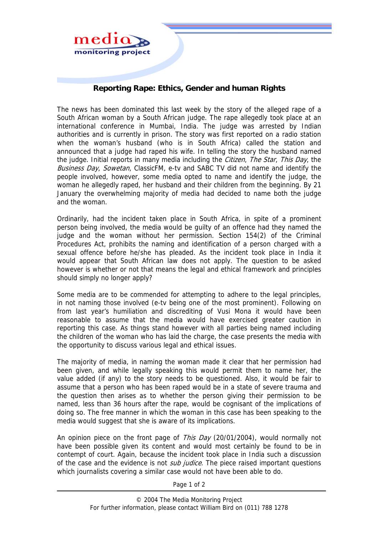

## **Reporting Rape: Ethics, Gender and human Rights**

The news has been dominated this last week by the story of the alleged rape of a South African woman by a South African judge. The rape allegedly took place at an international conference in Mumbai, India. The judge was arrested by Indian authorities and is currently in prison. The story was first reported on a radio station when the woman's husband (who is in South Africa) called the station and announced that a judge had raped his wife. In telling the story the husband named the judge. Initial reports in many media including the *Citizen, The Star, This Day*, the Business Day, Sowetan, ClassicFM, e-tv and SABC TV did not name and identify the people involved, however, some media opted to name and identify the judge, the woman he allegedly raped, her husband and their children from the beginning. By 21 January the overwhelming majority of media had decided to name both the judge and the woman.

Ordinarily, had the incident taken place in South Africa, in spite of a prominent person being involved, the media would be guilty of an offence had they named the judge and the woman without her permission. Section 154(2) of the Criminal Procedures Act, prohibits the naming and identification of a person charged with a sexual offence before he/she has pleaded. As the incident took place in India it would appear that South African law does not apply. The question to be asked however is whether or not that means the legal and ethical framework and principles should simply no longer apply?

Some media are to be commended for attempting to adhere to the legal principles, in not naming those involved (e-tv being one of the most prominent). Following on from last year's humiliation and discrediting of Vusi Mona it would have been reasonable to assume that the media would have exercised greater caution in reporting this case. As things stand however with all parties being named including the children of the woman who has laid the charge, the case presents the media with the opportunity to discuss various legal and ethical issues.

The majority of media, in naming the woman made it clear that her permission had been given, and while legally speaking this would permit them to name her, the value added (if any) to the story needs to be questioned. Also, it would be fair to assume that a person who has been raped would be in a state of severe trauma and the question then arises as to whether the person giving their permission to be named, less than 36 hours after the rape, would be cognisant of the implications of doing so. The free manner in which the woman in this case has been speaking to the media would suggest that she is aware of its implications.

An opinion piece on the front page of This Day (20/01/2004), would normally not have been possible given its content and would most certainly be found to be in contempt of court. Again, because the incident took place in India such a discussion of the case and the evidence is not *sub judice*. The piece raised important questions which journalists covering a similar case would not have been able to do.

Page 1 of 2